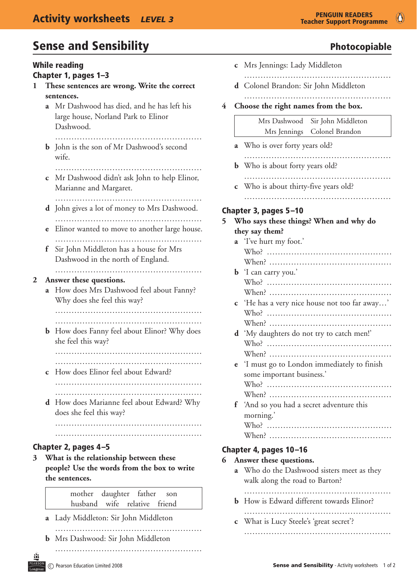# Sense and Sensibility **Sense and Sensibility** and *Sense and Sensibility* and *Photocopiable*

| <b>While reading</b><br>Chapter 1, pages 1-3                                     | c Mrs Jennings: Lady Middleton                                  |  |  |
|----------------------------------------------------------------------------------|-----------------------------------------------------------------|--|--|
| These sentences are wrong. Write the correct                                     |                                                                 |  |  |
| ı                                                                                | d Colonel Brandon: Sir John Middleton                           |  |  |
| sentences.                                                                       |                                                                 |  |  |
| a Mr Dashwood has died, and he has left his                                      | Choose the right names from the box.<br>$\overline{\mathbf{4}}$ |  |  |
| large house, Norland Park to Elinor                                              | Mrs Dashwood Sir John Middleton                                 |  |  |
| Dashwood.                                                                        | Mrs Jennings Colonel Brandon                                    |  |  |
| <b>b</b> John is the son of Mr Dashwood's second<br>wife.                        | a Who is over forty years old?                                  |  |  |
|                                                                                  | <b>b</b> Who is about forty years old?                          |  |  |
| Mr Dashwood didn't ask John to help Elinor,                                      |                                                                 |  |  |
| $\mathbf c$                                                                      | Who is about thirty-five years old?                             |  |  |
| Marianne and Margaret.                                                           | $\mathbf{C}$                                                    |  |  |
|                                                                                  |                                                                 |  |  |
| <b>d</b> John gives a lot of money to Mrs Dashwood.                              | Chapter 3, pages 5-10                                           |  |  |
|                                                                                  | Who says these things? When and why do                          |  |  |
| Elinor wanted to move to another large house.                                    | 5                                                               |  |  |
| $\mathbf e$                                                                      | they say them?                                                  |  |  |
| Sir John Middleton has a house for Mrs<br>f<br>Dashwood in the north of England. | a 'I've hurt my foot.'                                          |  |  |
|                                                                                  | <b>b</b> 'I can carry you.'                                     |  |  |
| Answer these questions.                                                          |                                                                 |  |  |
| $\mathbf{2}$                                                                     |                                                                 |  |  |
| a How does Mrs Dashwood feel about Fanny?                                        | 'He has a very nice house not too far away'                     |  |  |
| Why does she feel this way?                                                      | $\mathbf{C}$                                                    |  |  |
|                                                                                  |                                                                 |  |  |
|                                                                                  |                                                                 |  |  |
| How does Fanny feel about Elinor? Why does                                       | 'My daughters do not try to catch men!'                         |  |  |
| $\mathbf b$                                                                      | $\mathbf d$                                                     |  |  |
| she feel this way?                                                               |                                                                 |  |  |
| How does Elinor feel about Edward?                                               | <b>e</b> 'I must go to London immediately to finish             |  |  |
| $\mathbf c$                                                                      | some important business.'                                       |  |  |
|                                                                                  |                                                                 |  |  |
| <b>d</b> How does Marianne feel about Edward? Why<br>does she feel this way?     | 'And so you had a secret adventure this<br>f<br>morning.        |  |  |
|                                                                                  |                                                                 |  |  |
|                                                                                  |                                                                 |  |  |
| Chapter 2, pages 4-5                                                             | Chapter 4, pages 10-16                                          |  |  |
| What is the relationship between these                                           | Answer these questions.                                         |  |  |
| $3^{\circ}$                                                                      | 6                                                               |  |  |
| people? Use the words from the box to write                                      | a Who do the Dashwood sisters meet as they                      |  |  |
| the sentences.                                                                   | walk along the road to Barton?                                  |  |  |
| daughter father<br>mother<br>son<br>husband wife relative<br>friend              | <b>b</b> How is Edward different towards Elinor?                |  |  |
| Lady Middleton: Sir John Middleton<br>a                                          | <b>c</b> What is Lucy Steele's 'great secret'?                  |  |  |
|                                                                                  |                                                                 |  |  |

EARS

**b** Mrs Dashwood: Sir John Middleton

 ………………………………………………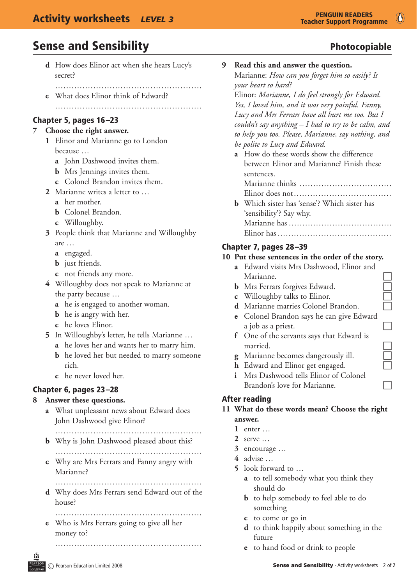# Sense and Sensibility and Sensibility and the Sense and Sensibility and the Sense and Sensibility and The Photocopiable

- **d** How does Elinor act when she hears Lucy's secret?
	- ………………………………………………
- **e** What does Elinor think of Edward? ………………………………………………

#### Chapter 5, pages 16–23

#### **7 Choose the right answer.**

- **1** Elinor and Marianne go to London because …
	- **a** John Dashwood invites them.
	- **b** Mrs Jennings invites them.
	- **c** Colonel Brandon invites them.
- **2** Marianne writes a letter to …
	- **a** her mother.
	- **b** Colonel Brandon.
	- **c** Willoughby.
- **3** People think that Marianne and Willoughby are …
	- **a** engaged.
	- **b** just friends.
	- **c** not friends any more.
- **4** Willoughby does not speak to Marianne at the party because …
	- **a** he is engaged to another woman.
	- **b** he is angry with her.
	- **c** he loves Elinor.
- **5** In Willoughby's letter, he tells Marianne …
	- **a** he loves her and wants her to marry him.
	- **b** he loved her but needed to marry someone rich.
	- **c** he never loved her.

## Chapter 6, pages 23–28

#### **8 Answer these questions.**

- **a** What unpleasant news about Edward does John Dashwood give Elinor?
	- ………………………………………………
- **b** Why is John Dashwood pleased about this? ………………………………………………
- **c** Why are Mrs Ferrars and Fanny angry with Marianne?
- ……………………………………………… **d** Why does Mrs Ferrars send Edward out of the
	- house? ………………………………………………
- **e** Who is Mrs Ferrars going to give all her
- money to?

 ………………………………………………

|  | Marianne: How can you forget him so easily? Is       |
|--|------------------------------------------------------|
|  | your heart so hard?                                  |
|  | Elinor: Marianne, I do feel strongly for Edward.     |
|  | Yes, I loved him, and it was very painful. Fanny,    |
|  | Lucy and Mrs Ferrars have all hurt me too. But I     |
|  | couldn't say anything – I had to try to be calm, and |
|  | to help you too. Please, Marianne, say nothing, and  |
|  | be polite to Lucy and Edward.                        |
|  | a How do these words show the difference             |
|  | between Elinor and Marianne? Finish these            |
|  | sentences.                                           |
|  | Marianne thinks                                      |
|  | Elinor does not                                      |
|  | <b>b</b> Which sister has 'sense'? Which sister has  |
|  | 'sensibility'? Say why.                              |
|  |                                                      |

**9 Read this and answer the question.**

## Chapter 7, pages 28–39

#### **10 Put these sentences in the order of the story.**

 Marianne has ………………………………..

 Elinor has ……………………………………

- **a** Edward visits Mrs Dashwood, Elinor and
- **b** Mrs Ferrars forgives Edward.
- **c** Willoughby talks to Elinor.
- Marianne.<br>
Mrs Ferrars forgives Edward.<br>
Willoughby talks to Elinor.<br>
Marianne marries Colonel Brandon. **d** Marianne marries Colonel Brandon.
- **e** Colonel Brandon says he can give Edward a job as a priest.
- **f** One of the servants says that Edward is married.<br>
Marianne becomes dangerously ill.<br>
Edward and Elinor get engaged.
- **g** Marianne becomes dangerously ill.
- **h** Edward and Elinor get engaged.
- **i** Mrs Dashwood tells Elinor of Colonel Brandon's love for Marianne.  $\Box$

## After reading

## **11 What do these words mean? Choose the right answer.**

- **1** enter …
- **2** serve …
- **3** encourage …
- **4** advise …
- **5** look forward to …
	- **a** to tell somebody what you think they should do
	- **b** to help somebody to feel able to do something
	- **c** to come or go in
	- **d** to think happily about something in the future
	- **e** to hand food or drink to people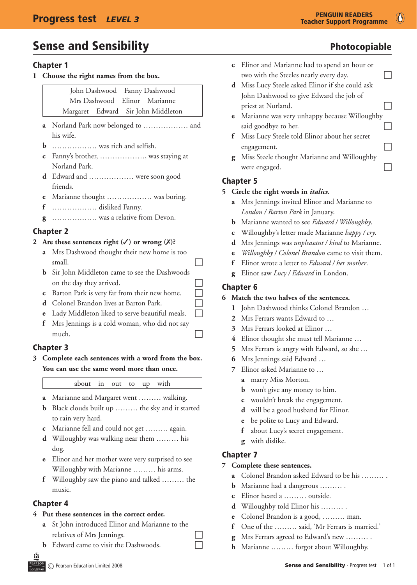# Sense and Sensibility **Sense and Sensibility** and *Sense and Sensibility* and *Photocopiable*

# Chapter 1

**1 Choose the right names from the box.**

|  | John Dashwood Fanny Dashwood |                                    |  |
|--|------------------------------|------------------------------------|--|
|  |                              | Mrs Dashwood Elinor Marianne       |  |
|  |                              | Margaret Edward Sir John Middleton |  |

- **a** Norland Park now belonged to ……………… and his wife.
- **b** ……………… was rich and selfish.
- **c** Fanny's brother, ………………, was staying at Norland Park.
- **d** Edward and ……………… were soon good friends.
- **e** Marianne thought ……………… was boring.
- **f** ……………… disliked Fanny.
- **g** ……………… was a relative from Devon.

# Chapter 2

# 2 Are these sentences right  $(\checkmark)$  or wrong  $(\checkmark)$ ?

- **a** Mrs Dashwood thought their new home is too  $small.$   $\Box$
- **b** Sir John Middleton came to see the Dashwoods on the day they arrived.
- **c** Barton Park is very far from their new home.
- **d** Colonel Brandon lives at Barton Park.
- **e** Lady Middleton liked to serve beautiful meals.
- **f** Mrs Jennings is a cold woman, who did not say much.

# Chapter 3

**3 Complete each sentences with a word from the box. You can use the same word more than once.**

about in out to up with

- **a** Marianne and Margaret went ……… walking.
- **b** Black clouds built up ……… the sky and it started to rain very hard.
- **c** Marianne fell and could not get ……… again.
- **d** Willoughby was walking near them ……… his dog.
- **e** Elinor and her mother were very surprised to see Willoughby with Marianne ……… his arms.
- **f** Willoughby saw the piano and talked ……… the music.

## Chapter 4

# **4 Put these sentences in the correct order.**

- **a** St John introduced Elinor and Marianne to the relatives of Mrs Jennings.
- **b** Edward came to visit the Dashwoods.
- **c** Elinor and Marianne had to spend an hour or two with the Steeles nearly every day.  $\Box$
- **d** Miss Lucy Steele asked Elinor if she could ask John Dashwood to give Edward the job of priest at Norland.
- **e** Marianne was very unhappy because Willoughby said goodbye to her.  $\Box$
- **f** Miss Lucy Steele told Elinor about her secret engagement.
- **g** Miss Steele thought Marianne and Willoughby were engaged.  $\Box$

## Chapter 5

- **5 Circle the right words in** *italics***.**
	- **a** Mrs Jennings invited Elinor and Marianne to *London / Barton Park* in January.
	- **b** Marianne wanted to see *Edward / Willoughby*.
	- **c** Willoughby's letter made Marianne *happy / cry*.
	- **d** Mrs Jennings was *unpleasant / kind* to Marianne.
	- **e** *Willoughby / Colonel Brandon* came to visit them.
	- **f** Elinor wrote a letter to *Edward / her mother*.
	- **g** Elinor saw *Lucy / Edward* in London.

# Chapter 6

## **6 Match the two halves of the sentences.**

- **1** John Dashwood thinks Colonel Brandon …
- **2** Mrs Ferrars wants Edward to …
- **3** Mrs Ferrars looked at Elinor …
- **4** Elinor thought she must tell Marianne …
- **5** Mrs Ferrars is angry with Edward, so she …
- **6** Mrs Jennings said Edward …
- **7** Elinor asked Marianne to …
	- **a** marry Miss Morton.
	- **b** won't give any money to him.
	- **c** wouldn't break the engagement.
	- **d** will be a good husband for Elinor.
	- **e** be polite to Lucy and Edward.
	- **f** about Lucy's secret engagement.
	- **g** with dislike.

## Chapter 7

## **7 Complete these sentences.**

- **a** Colonel Brandon asked Edward to be his ……… .
- **b** Marianne had a dangerous ……… .
- **c** Elinor heard a ……… outside.
- **d** Willoughby told Elinor his ……… .
- **e** Colonel Brandon is a good, ……… man.
- **f** One of the ……… said, 'Mr Ferrars is married.'
- **g** Mrs Ferrars agreed to Edward's new ……… .
- **h** Marianne ……… forgot about Willoughby.

 $\bullet$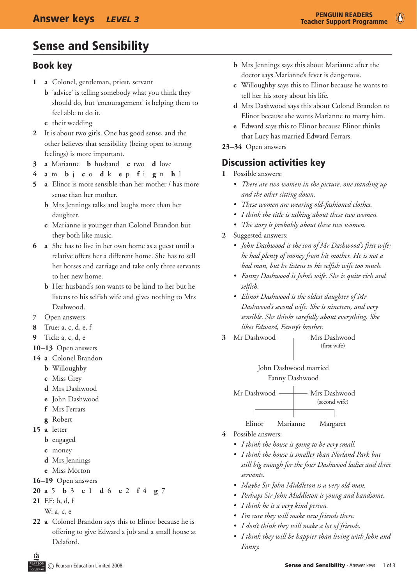# Sense and Sensibility

# Book key

- **1 a** Colonel, gentleman, priest, servant
	- **b** 'advice' is telling somebody what you think they should do, but 'encouragement' is helping them to feel able to do it.
	- **c** their wedding
- **2** It is about two girls. One has good sense, and the other believes that sensibility (being open to strong feelings) is more important.
- **3 a** Marianne **b** husband **c** two **d** love
- **4 a** m **b** j **c** o **d** k **e** p **f** i **g** n **h** l
- **5 a** Elinor is more sensible than her mother / has more sense than her mother.
	- **b** Mrs Jennings talks and laughs more than her daughter.
	- **c** Marianne is younger than Colonel Brandon but they both like music.
- **6 a** She has to live in her own home as a guest until a relative offers her a different home. She has to sell her horses and carriage and take only three servants to her new home.
	- **b** Her husband's son wants to be kind to her but he listens to his selfish wife and gives nothing to Mrs Dashwood.
- **7** Open answers
- **8** True: a, c, d, e, f
- **9** Tick: a, c, d, e
- **10–13** Open answers
- **14 a** Colonel Brandon
	- **b** Willoughby
	- **c** Miss Grey
	- **d** Mrs Dashwood
	- **e** John Dashwood
	- **f** Mrs Ferrars
	- **g** Robert
- **15 a** letter
	- **b** engaged
	- **c** money
	- **d** Mrs Jennings
	- **e** Miss Morton
- **16–19** Open answers
- **20 a** 5 **b** 3 **c** 1 **d** 6 **e** 2 **f** 4 **g** 7
- **21** EF: b, d, f
	- W: a, c, e
- **22 a** Colonel Brandon says this to Elinor because he is offering to give Edward a job and a small house at Delaford.
- **b** Mrs Jennings says this about Marianne after the doctor says Marianne's fever is dangerous.
- **c** Willoughby says this to Elinor because he wants to tell her his story about his life.
- **d** Mrs Dashwood says this about Colonel Brandon to Elinor because she wants Marianne to marry him.
- **e** Edward says this to Elinor because Elinor thinks that Lucy has married Edward Ferrars.
- **23–34** Open answers

# Discussion activities key

- **1** Possible answers:
	- *• There are two women in the picture, one standing up and the other sitting down.*
	- *• These women are wearing old-fashioned clothes.*
	- *• I think the title is talking about these two women.*
	- *• The story is probably about these two women.*

#### **2** Suggested answers:

- *• John Dashwood is the son of Mr Dashwood's first wife; he had plenty of money from his mother. He is not a bad man, but he listens to his selfish wife too much.*
- *• Fanny Dashwood is John's wife. She is quite rich and selfish.*
- *• Elinor Dashwood is the oldest daughter of Mr Dashwood's second wife. She is nineteen, and very sensible. She thinks carefully about everything. She likes Edward, Fanny's brother.*
- 3 Mr Dashwood Mrs Dashwood (first wife)

 John Dashwood married Fanny Dashwood

Mr Dashwood — Mrs Dashwood (second wife)

Elinor Marianne Margaret

- **4** Possible answers:
	- *• I think the house is going to be very small.*
	- *• I think the house is smaller than Norland Park but still big enough for the four Dashwood ladies and three servants.*
	- *• Maybe Sir John Middleton is a very old man.*
	- *• Perhaps Sir John Middleton is young and handsome.*
	- *• I think he is a very kind person.*
	- *• I'm sure they will make new friends there.*
	- *• I don't think they will make a lot of friends.*
	- *• I think they will be happier than living with John and Fanny.*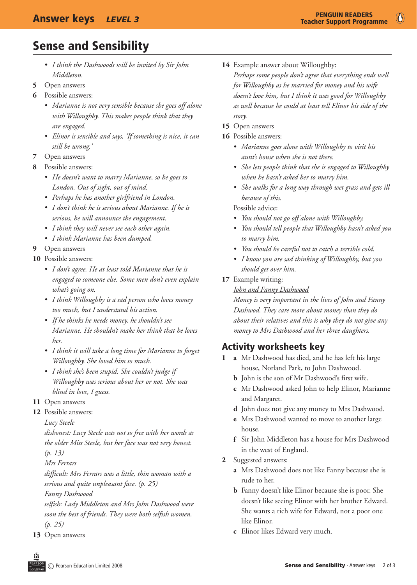# Sense and Sensibility

- *• I think the Dashwoods will be invited by Sir John Middleton.*
- **5** Open answers
- **6** Possible answers:
	- *• Marianne is not very sensible because she goes off alone with Willoughby. This makes people think that they are engaged.*
	- *• Elinor is sensible and says, 'If something is nice, it can still be wrong.'*
- **7** Open answers
- **8** Possible answers:
	- *• He doesn't want to marry Marianne, so he goes to London. Out of sight, out of mind.*
	- *• Perhaps he has another girlfriend in London.*
	- *• I don't think he is serious about Marianne. If he is serious, he will announce the engagement.*
	- *• I think they will never see each other again.*
	- *• I think Marianne has been dumped.*
- **9** Open answers
- **10** Possible answers:
	- *• I don't agree. He at least told Marianne that he is engaged to someone else. Some men don't even explain what's going on.*
	- *• I think Willoughby is a sad person who loves money too much, but I understand his action.*
	- *• If he thinks he needs money, he shouldn't see Marianne. He shouldn't make her think that he loves her.*
	- *• I think it will take a long time for Marianne to forget Willoughby. She loved him so much.*
	- *• I think she's been stupid. She couldn't judge if Willoughby was serious about her or not. She was blind in love, I guess.*
- **11** Open answers
- **12** Possible answers:
	- *Lucy Steele*

 *dishonest: Lucy Steele was not so free with her words as the older Miss Steele, but her face was not very honest. (p. 13)*

 *Mrs Ferrars*

 *difficult: Mrs Ferrars was a little, thin woman with a serious and quite unpleasant face. (p. 25)*

 *Fanny Dashwood*

 *selfish: Lady Middleton and Mrs John Dashwood were soon the best of friends. They were both selfish women. (p. 25)*

**13** Open answers

14 Example answer about Willoughby:

 *Perhaps some people don't agree that everything ends well for Willoughby as he married for money and his wife doesn't love him, but I think it was good for Willoughby as well because he could at least tell Elinor his side of the story.*

- **15** Open answers
- **16** Possible answers:
	- *• Marianne goes alone with Willoughby to visit his aunt's house when she is not there.*
	- *• She lets people think that she is engaged to Willoughby when he hasn't asked her to marry him.*
	- *• She walks for a long way through wet grass and gets ill because of this.*

 Possible advice:

- *• You should not go off alone with Willoughby.*
- *• You should tell people that Willoughby hasn't asked you to marry him.*
- *• You should be careful not to catch a terrible cold.*
- *• I know you are sad thinking of Willoughby, but you should get over him.*
- **17** Example writing:

 *John and Fanny Dashwood*

 *Money is very important in the lives of John and Fanny Dashwod. They care more about money than they do about their relatives and this is why they do not give any money to Mrs Dashwood and her three daughters.*

# Activity worksheets key

- 1 **a** Mr Dashwood has died, and he has left his large house, Norland Park, to John Dashwood.
	- **b** John is the son of Mr Dashwood's first wife.
	- **c** Mr Dashwood asked John to help Elinor, Marianne and Margaret.
	- **d** John does not give any money to Mrs Dashwood.
	- **e** Mrs Dashwood wanted to move to another large house.
	- **f** Sir John Middleton has a house for Mrs Dashwood in the west of England.
- **2** Suggested answers:
	- **a** Mrs Dashwood does not like Fanny because she is rude to her.
	- **b** Fanny doesn't like Elinor because she is poor. She doesn't like seeing Elinor with her brother Edward. She wants a rich wife for Edward, not a poor one like Elinor.
	- **c** Elinor likes Edward very much.